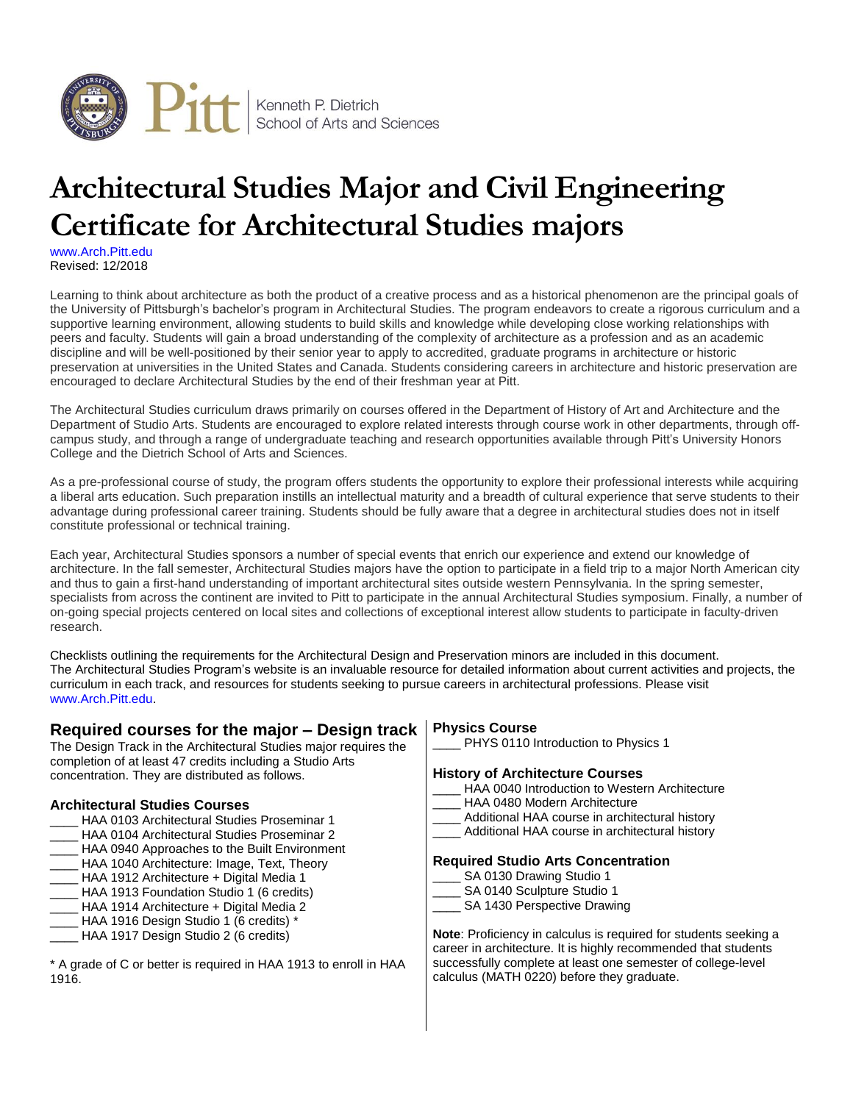

# **Architectural Studies Major and Civil Engineering Certificate for Architectural Studies majors**

[www.Arch.Pitt.edu](http://www.haa.pitt.edu/undergraduate/architectural.html) Revised: 12/2018

Learning to think about architecture as both the product of a creative process and as a historical phenomenon are the principal goals of the University of Pittsburgh's bachelor's program in Architectural Studies. The program endeavors to create a rigorous curriculum and a supportive learning environment, allowing students to build skills and knowledge while developing close working relationships with peers and faculty. Students will gain a broad understanding of the complexity of architecture as a profession and as an academic discipline and will be well-positioned by their senior year to apply to accredited, graduate programs in architecture or historic preservation at universities in the United States and Canada. Students considering careers in architecture and historic preservation are encouraged to declare Architectural Studies by the end of their freshman year at Pitt.

The Architectural Studies curriculum draws primarily on courses offered in the Department of History of Art and [Architecture](http://www.haa.pitt.edu/) and the [Department](http://www.studioarts.pitt.edu/) of Studio Arts. Students are encouraged to explore related interests through course work in other departments, through offcampus study, and through a range of undergraduate teaching and research opportunities available through Pitt's University Honors College and the Dietrich School of Arts and Sciences.

As a pre-professional course of study, the program offers students the opportunity to explore their professional interests while acquiring a liberal arts education. Such preparation instills an intellectual maturity and a breadth of cultural experience that serve students to their advantage during professional career training. Students should be fully aware that a degree in architectural studies does not in itself constitute professional or technical training.

Each year, Architectural Studies sponsors a number of special events that enrich our experience and extend our knowledge of architecture. In the fall semester, Architectural Studies majors have the option to participate in a [field](http://www.arch.pitt.edu/opportunities/field-trips.php) trip to a major North American city and thus to gain a first-hand understanding of important architectural sites outside western Pennsylvania. In the spring semester, specialists from across the continent are invited to Pitt to participate in the annual Architectural Studies [symposium.](http://www.arch.pitt.edu/about/symposium.php) Finally, a number of on-going special [projects](http://www.arch.pitt.edu/special-projects/waldorf-school.php) centered on local sites and collections of exceptional interest allow students to participate in faculty-driven research.

Checklists outlining the requirements for the Architectural Design and Preservation minors are included in this document. The Architectural Studies Program's website is an invaluable resource for detailed information about current activities and projects, the curriculum in each track, and resources for students seeking to pursue careers in architectural professions. Please visit [www.Arch.Pitt.edu.](http://www.arch.pitt.edu/)

## **Required courses for the major – Design track**

The Design Track in the Architectural Studies major requires the completion of at least 47 credits including a Studio Arts concentration. They are distributed as follows.

#### **Architectural Studies Courses**

- HAA 0103 Architectural Studies Proseminar 1
- HAA 0104 Architectural Studies Proseminar 2
- HAA 0940 Approaches to the Built Environment
- \_\_\_\_ HAA 1040 Architecture: Image, Text, Theory
- \_\_\_\_ HAA 1912 Architecture + Digital Media 1
- HAA 1913 Foundation Studio 1 (6 credits)
- \_\_\_\_ HAA 1914 Architecture + Digital Media 2 \_\_\_\_ HAA 1916 Design Studio 1 (6 credits) \*
- \_\_\_\_ HAA 1917 Design Studio 2 (6 credits)
- \* A grade of C or better is required in HAA 1913 to enroll in HAA 1916.

#### **Physics Course**

PHYS 0110 Introduction to Physics 1

#### **History of Architecture Courses**

- HAA 0040 Introduction to Western Architecture
- HAA 0480 Modern Architecture
- Additional HAA course in architectural history
- Additional HAA course in architectural history

#### **Required Studio Arts Concentration**

- SA 0130 Drawing Studio 1
- SA 0140 Sculpture Studio 1
- SA 1430 Perspective Drawing

**Note**: Proficiency in calculus is required for students seeking a career in architecture. It is highly recommended that students successfully complete at least one semester of college-level calculus (MATH 0220) before they graduate.